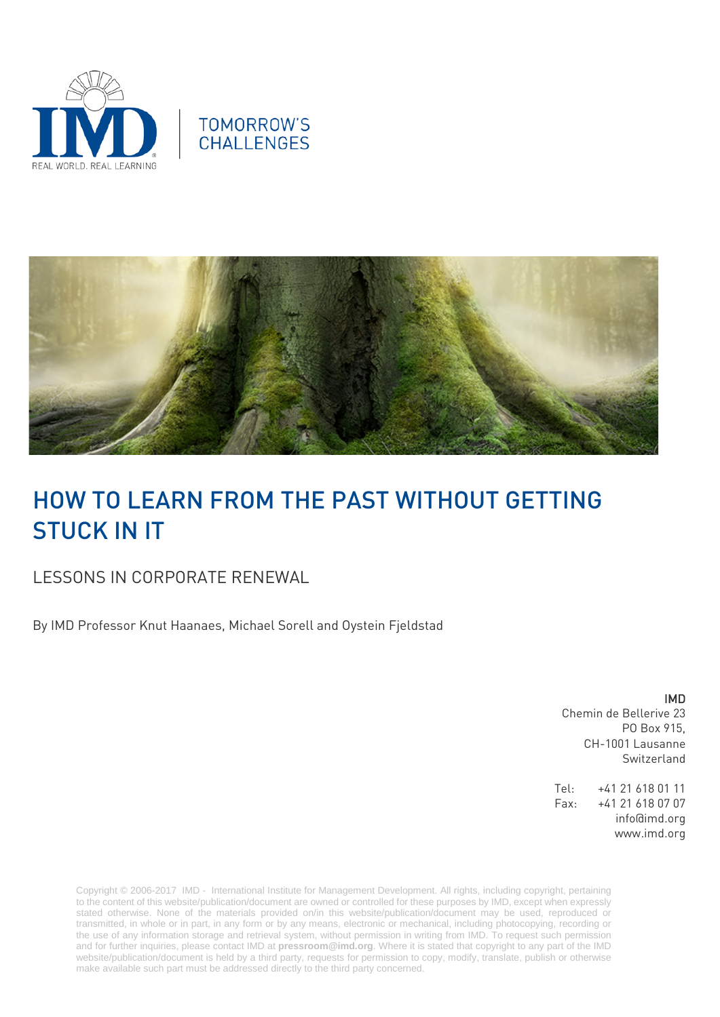





# HOW TO LEARN FROM THE PAST WITHOUT GETTING STUCK IN IT

## LESSONS IN CORPORATE RENEWAL

By IMD Professor Knut Haanaes, Michael Sorell and Oystein Fjeldstad

IMD Chemin de Bellerive 23 PO Box 915, CH-1001 Lausanne Switzerland

Tel: +41 21 618 01 11 Fax: +41 21 618 07 07 info@imd.org www.imd.org

Copyright © 2006-2017 IMD - International Institute for Management Development. All rights, including copyright, pertaining to the content of this website/publication/document are owned or controlled for these purposes by IMD, except when expressly stated otherwise. None of the materials provided on/in this website/publication/document may be used, reproduced or transmitted, in whole or in part, in any form or by any means, electronic or mechanical, including photocopying, recording or the use of any information storage and retrieval system, without permission in writing from IMD. To request such permission and for further inquiries, please contact IMD at **[pressroom@imd.org](mailto:pressroom@imd.org)**. Where it is stated that copyright to any part of the IMD website/publication/document is held by a third party, requests for permission to copy, modify, translate, publish or otherwise make available such part must be addressed directly to the third party concerned.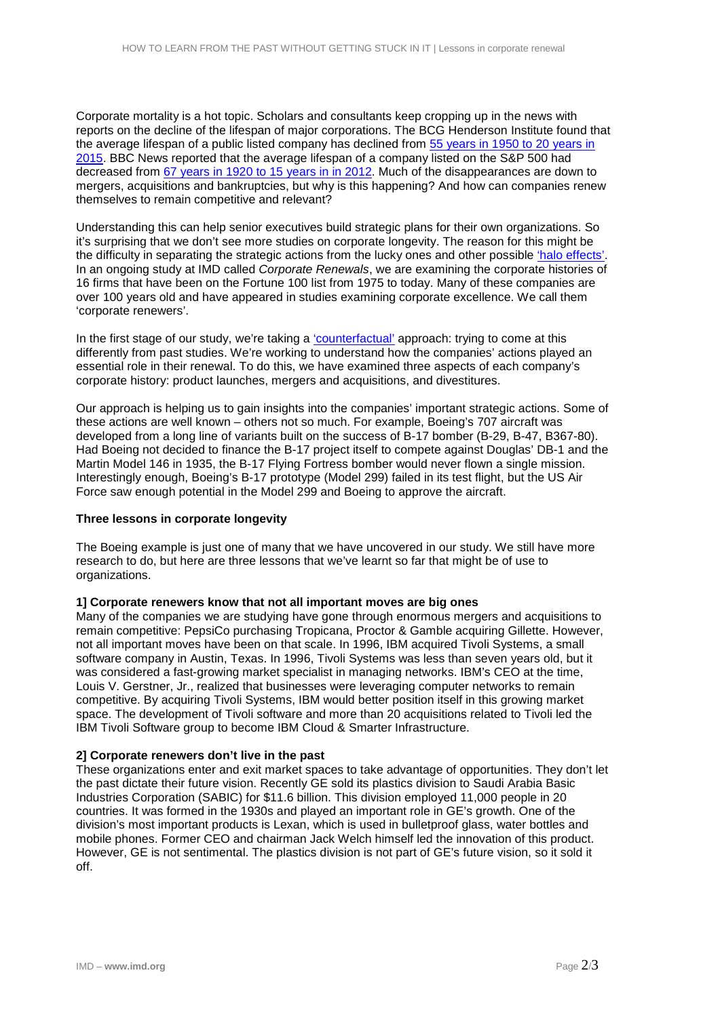Corporate mortality is a hot topic. Scholars and consultants keep cropping up in the news with reports on the decline of the lifespan of major corporations. The BCG Henderson Institute found that the average lifespan of a public listed company has declined from [55 years in 1950 to 20 years in](https://hbr.org/product/your-strategy-needs-a-strategy-how-to-choose-and-execute-the-right-approach/14054-HBK-ENG)  [2015.](https://hbr.org/product/your-strategy-needs-a-strategy-how-to-choose-and-execute-the-right-approach/14054-HBK-ENG) BBC News reported that the average lifespan of a company listed on the S&P 500 had decreased from [67 years in 1920 to 15 years in in 2012.](http://www.bbc.co.uk/news/business-16611040) Much of the disappearances are down to mergers, acquisitions and bankruptcies, but why is this happening? And how can companies renew themselves to remain competitive and relevant?

Understanding this can help senior executives build strategic plans for their own organizations. So it's surprising that we don't see more studies on corporate longevity. The reason for this might be the difficulty in separating the strategic actions from the lucky ones and other possible ['halo effects'.](https://www.amazon.co.uk/Effect-Business-Delusions-Deceive-Managers/dp/1476784035) In an ongoing study at IMD called *Corporate Renewals*, we are examining the corporate histories of 16 firms that have been on the Fortune 100 list from 1975 to today. Many of these companies are over 100 years old and have appeared in studies examining corporate excellence. We call them 'corporate renewers'.

In the first stage of our study, we're taking a ['counterfactual'](http://onlinelibrary.wiley.com/doi/10.1002/smj.793/full) approach: trying to come at this differently from past studies. We're working to understand how the companies' actions played an essential role in their renewal. To do this, we have examined three aspects of each company's corporate history: product launches, mergers and acquisitions, and divestitures.

Our approach is helping us to gain insights into the companies' important strategic actions. Some of these actions are well known – others not so much. For example, Boeing's 707 aircraft was developed from a long line of variants built on the success of B-17 bomber (B-29, B-47, B367-80). Had Boeing not decided to finance the B-17 project itself to compete against Douglas' DB-1 and the Martin Model 146 in 1935, the B-17 Flying Fortress bomber would never flown a single mission. Interestingly enough, Boeing's B-17 prototype (Model 299) failed in its test flight, but the US Air Force saw enough potential in the Model 299 and Boeing to approve the aircraft.

#### **Three lessons in corporate longevity**

The Boeing example is just one of many that we have uncovered in our study. We still have more research to do, but here are three lessons that we've learnt so far that might be of use to organizations.

#### **1] Corporate renewers know that not all important moves are big ones**

Many of the companies we are studying have gone through enormous mergers and acquisitions to remain competitive: PepsiCo purchasing Tropicana, Proctor & Gamble acquiring Gillette. However, not all important moves have been on that scale. In 1996, IBM acquired Tivoli Systems, a small software company in Austin, Texas. In 1996, Tivoli Systems was less than seven years old, but it was considered a fast-growing market specialist in managing networks. IBM's CEO at the time, Louis V. Gerstner, Jr., realized that businesses were leveraging computer networks to remain competitive. By acquiring Tivoli Systems, IBM would better position itself in this growing market space. The development of Tivoli software and more than 20 acquisitions related to Tivoli led the IBM Tivoli Software group to become IBM Cloud & Smarter Infrastructure.

#### **2] Corporate renewers don't live in the past**

These organizations enter and exit market spaces to take advantage of opportunities. They don't let the past dictate their future vision. Recently GE sold its plastics division to Saudi Arabia Basic Industries Corporation (SABIC) for \$11.6 billion. This division employed 11,000 people in 20 countries. It was formed in the 1930s and played an important role in GE's growth. One of the division's most important products is Lexan, which is used in bulletproof glass, water bottles and mobile phones. Former CEO and chairman Jack Welch himself led the innovation of this product. However, GE is not sentimental. The plastics division is not part of GE's future vision, so it sold it off.